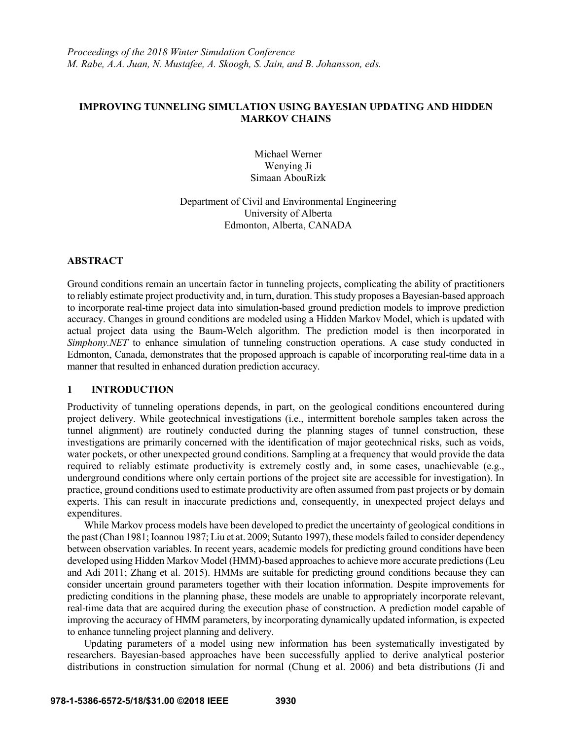### **IMPROVING TUNNELING SIMULATION USING BAYESIAN UPDATING AND HIDDEN MARKOV CHAINS**

Michael Werner Wenying Ji Simaan AbouRizk

Department of Civil and Environmental Engineering University of Alberta Edmonton, Alberta, CANADA

### **ABSTRACT**

Ground conditions remain an uncertain factor in tunneling projects, complicating the ability of practitioners to reliably estimate project productivity and, in turn, duration. This study proposes a Bayesian-based approach to incorporate real-time project data into simulation-based ground prediction models to improve prediction accuracy. Changes in ground conditions are modeled using a Hidden Markov Model, which is updated with actual project data using the Baum-Welch algorithm. The prediction model is then incorporated in *Simphony.NET* to enhance simulation of tunneling construction operations. A case study conducted in Edmonton, Canada, demonstrates that the proposed approach is capable of incorporating real-time data in a manner that resulted in enhanced duration prediction accuracy.

# **1 INTRODUCTION**

Productivity of tunneling operations depends, in part, on the geological conditions encountered during project delivery. While geotechnical investigations (i.e., intermittent borehole samples taken across the tunnel alignment) are routinely conducted during the planning stages of tunnel construction, these investigations are primarily concerned with the identification of major geotechnical risks, such as voids, water pockets, or other unexpected ground conditions. Sampling at a frequency that would provide the data required to reliably estimate productivity is extremely costly and, in some cases, unachievable (e.g., underground conditions where only certain portions of the project site are accessible for investigation). In practice, ground conditions used to estimate productivity are often assumed from past projects or by domain experts. This can result in inaccurate predictions and, consequently, in unexpected project delays and expenditures.

While Markov process models have been developed to predict the uncertainty of geological conditions in the past (Chan 1981; Ioannou 1987; Liu et at. 2009; Sutanto 1997), these models failed to consider dependency between observation variables. In recent years, academic models for predicting ground conditions have been developed using Hidden Markov Model (HMM)-based approaches to achieve more accurate predictions (Leu and Adi 2011; Zhang et al. 2015). HMMs are suitable for predicting ground conditions because they can consider uncertain ground parameters together with their location information. Despite improvements for predicting conditions in the planning phase, these models are unable to appropriately incorporate relevant, real-time data that are acquired during the execution phase of construction. A prediction model capable of improving the accuracy of HMM parameters, by incorporating dynamically updated information, is expected to enhance tunneling project planning and delivery.

Updating parameters of a model using new information has been systematically investigated by researchers. Bayesian-based approaches have been successfully applied to derive analytical posterior distributions in construction simulation for normal (Chung et al. 2006) and beta distributions (Ji and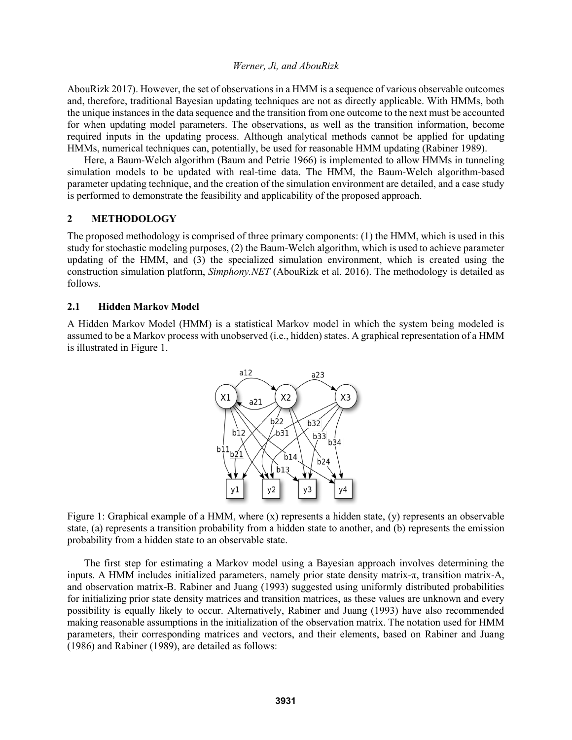AbouRizk 2017). However, the set of observations in a HMM is a sequence of various observable outcomes and, therefore, traditional Bayesian updating techniques are not as directly applicable. With HMMs, both the unique instances in the data sequence and the transition from one outcome to the next must be accounted for when updating model parameters. The observations, as well as the transition information, become required inputs in the updating process. Although analytical methods cannot be applied for updating HMMs, numerical techniques can, potentially, be used for reasonable HMM updating (Rabiner 1989).

Here, a Baum-Welch algorithm (Baum and Petrie 1966) is implemented to allow HMMs in tunneling simulation models to be updated with real-time data. The HMM, the Baum-Welch algorithm-based parameter updating technique, and the creation of the simulation environment are detailed, and a case study is performed to demonstrate the feasibility and applicability of the proposed approach.

### **2 METHODOLOGY**

The proposed methodology is comprised of three primary components: (1) the HMM, which is used in this study for stochastic modeling purposes, (2) the Baum-Welch algorithm, which is used to achieve parameter updating of the HMM, and (3) the specialized simulation environment, which is created using the construction simulation platform, *Simphony.NET* (AbouRizk et al. 2016). The methodology is detailed as follows.

### **2.1 Hidden Markov Model**

A Hidden Markov Model (HMM) is a statistical Markov model in which the system being modeled is assumed to be a Markov process with unobserved (i.e., hidden) states. A graphical representation of a HMM is illustrated in Figure 1.



Figure 1: Graphical example of a HMM, where (x) represents a hidden state, (y) represents an observable state, (a) represents a transition probability from a hidden state to another, and (b) represents the emission probability from a hidden state to an observable state.

The first step for estimating a Markov model using a Bayesian approach involves determining the inputs. A HMM includes initialized parameters, namely prior state density matrix-π, transition matrix-A, and observation matrix-B. Rabiner and Juang (1993) suggested using uniformly distributed probabilities for initializing prior state density matrices and transition matrices, as these values are unknown and every possibility is equally likely to occur. Alternatively, Rabiner and Juang (1993) have also recommended making reasonable assumptions in the initialization of the observation matrix. The notation used for HMM parameters, their corresponding matrices and vectors, and their elements, based on Rabiner and Juang (1986) and Rabiner (1989), are detailed as follows: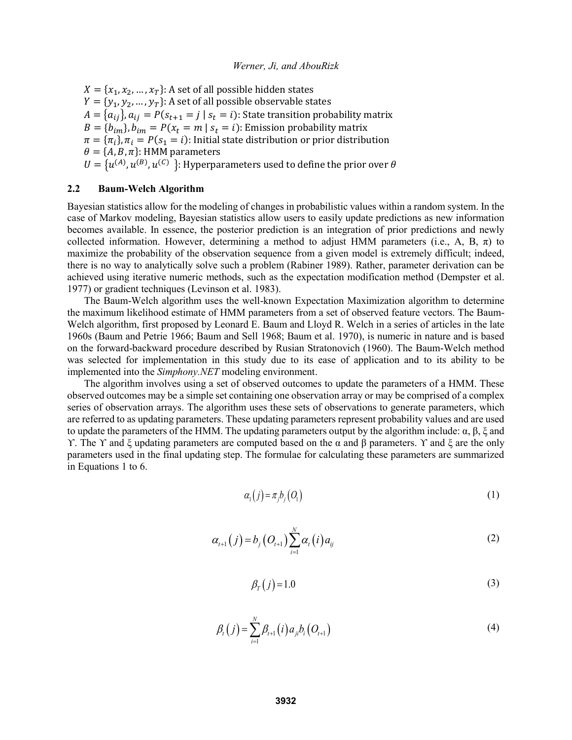$X = \{x_1, x_2, ..., x_T\}$ : A set of all possible hidden states  $Y = \{y_1, y_2, ..., y_T\}$ : A set of all possible observable states  $A = \{a_{ij}\}\text{, } a_{ij} = P(s_{t+1} = j \mid s_t = i)$ : State transition probability matrix  $B = \{b_{im}\}, b_{im} = P(x_t = m \mid s_t = i)$ : Emission probability matrix  $\pi = {\pi_i}$ ,  $\pi_i = P(s_1 = i)$ : Initial state distribution or prior distribution  $\theta = \{A, B, \pi\}$ : HMM parameters  $U = \{u^{(A)}, u^{(B)}, u^{(C)}\}$ : Hyperparameters used to define the prior over  $\theta$ 

### **2.2 Baum-Welch Algorithm**

Bayesian statistics allow for the modeling of changes in probabilistic values within a random system. In the case of Markov modeling, Bayesian statistics allow users to easily update predictions as new information becomes available. In essence, the posterior prediction is an integration of prior predictions and newly collected information. However, determining a method to adjust HMM parameters (i.e., A, B,  $\pi$ ) to maximize the probability of the observation sequence from a given model is extremely difficult; indeed, there is no way to analytically solve such a problem (Rabiner 1989). Rather, parameter derivation can be achieved using iterative numeric methods, such as the expectation modification method (Dempster et al. 1977) or gradient techniques (Levinson et al. 1983).

The Baum-Welch algorithm uses the well-known Expectation Maximization algorithm to determine the maximum likelihood estimate of HMM parameters from a set of observed feature vectors. The Baum-Welch algorithm, first proposed by Leonard E. Baum and Lloyd R. Welch in a series of articles in the late 1960s (Baum and Petrie 1966; Baum and Sell 1968; Baum et al. 1970), is numeric in nature and is based on the forward-backward procedure described by Rusian Stratonovich (1960). The Baum-Welch method was selected for implementation in this study due to its ease of application and to its ability to be implemented into the *Simphony.NET* modeling environment.

The algorithm involves using a set of observed outcomes to update the parameters of a HMM. These observed outcomes may be a simple set containing one observation array or may be comprised of a complex series of observation arrays. The algorithm uses these sets of observations to generate parameters, which are referred to as updating parameters. These updating parameters represent probability values and are used to update the parameters of the HMM. The updating parameters output by the algorithm include:  $\alpha$ ,  $\beta$ ,  $\xi$  and ϒ. The ϒ and ξ updating parameters are computed based on the α and β parameters. ϒ and ξ are the only parameters used in the final updating step. The formulae for calculating these parameters are summarized in Equations 1 to 6.

$$
\alpha_1(j) = \pi_j b_j(Q_1) \tag{1}
$$

$$
\alpha_{t+1}(j) = b_j \left( O_{t+1} \right) \sum_{i=1}^N \alpha_i(i) a_{ij} \tag{2}
$$

$$
\beta_T(j) = 1.0\tag{3}
$$

$$
\beta_t(j) = \sum_{i=1}^N \beta_{t+1}(i) a_{ji} b_i (O_{t+1})
$$
\n(4)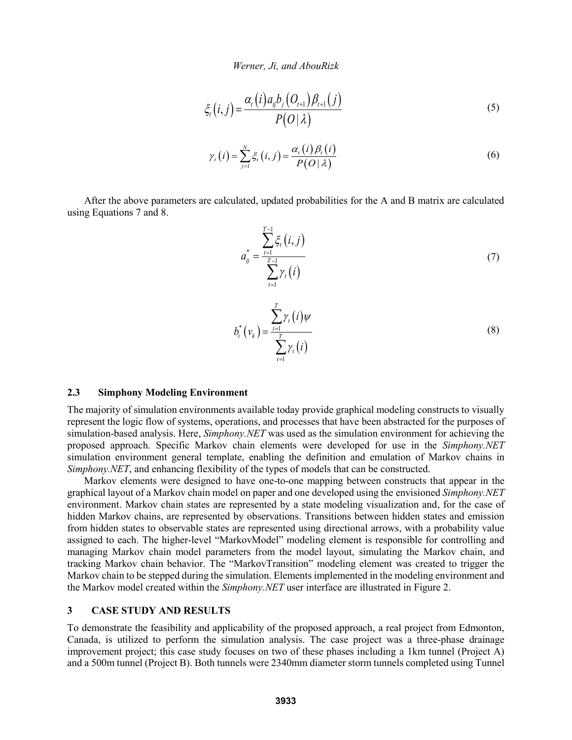$$
\xi_t(i,j) = \frac{\alpha_t(i)a_{ij}b_j(O_{t+1})\beta_{t+1}(j)}{P(O|\lambda)}
$$
\n(5)

$$
\gamma_{t}(i) = \sum_{j=1}^{N} \xi_{t}(i, j) = \frac{\alpha_{t}(i) \beta_{t}(i)}{P(O | \lambda)}
$$
\n(6)

After the above parameters are calculated, updated probabilities for the A and B matrix are calculated using Equations 7 and 8.

$$
a_{ij}^{*} = \frac{\sum_{t=1}^{T-1} \xi_{t}(i,j)}{\sum_{t=1}^{T-1} \gamma_{t}(i)}
$$
(7)

$$
b_i^* \left( v_k \right) = \frac{\sum_{t=1}^T \gamma_t(i) \psi}{\sum_{t=1}^T \gamma_t(i)}
$$
\n
$$
(8)
$$

### **2.3 Simphony Modeling Environment**

The majority of simulation environments available today provide graphical modeling constructs to visually represent the logic flow of systems, operations, and processes that have been abstracted for the purposes of simulation-based analysis. Here, *Simphony.NET* was used as the simulation environment for achieving the proposed approach. Specific Markov chain elements were developed for use in the *Simphony.NET* simulation environment general template, enabling the definition and emulation of Markov chains in *Simphony.NET*, and enhancing flexibility of the types of models that can be constructed.

Markov elements were designed to have one-to-one mapping between constructs that appear in the graphical layout of a Markov chain model on paper and one developed using the envisioned *Simphony.NET* environment. Markov chain states are represented by a state modeling visualization and, for the case of hidden Markov chains, are represented by observations. Transitions between hidden states and emission from hidden states to observable states are represented using directional arrows, with a probability value assigned to each. The higher-level "MarkovModel" modeling element is responsible for controlling and managing Markov chain model parameters from the model layout, simulating the Markov chain, and tracking Markov chain behavior. The "MarkovTransition" modeling element was created to trigger the Markov chain to be stepped during the simulation. Elements implemented in the modeling environment and the Markov model created within the *Simphony.NET* user interface are illustrated in Figure 2.

#### **3 CASE STUDY AND RESULTS**

To demonstrate the feasibility and applicability of the proposed approach, a real project from Edmonton, Canada, is utilized to perform the simulation analysis. The case project was a three-phase drainage improvement project; this case study focuses on two of these phases including a 1km tunnel (Project A) and a 500m tunnel (Project B). Both tunnels were 2340mm diameter storm tunnels completed using Tunnel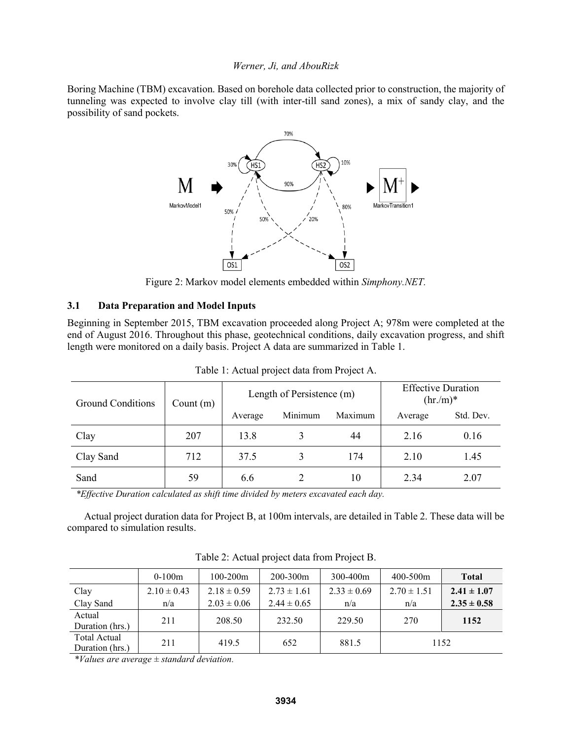Boring Machine (TBM) excavation. Based on borehole data collected prior to construction, the majority of tunneling was expected to involve clay till (with inter-till sand zones), a mix of sandy clay, and the possibility of sand pockets.



Figure 2: Markov model elements embedded within *Simphony.NET.*

# **3.1 Data Preparation and Model Inputs**

Beginning in September 2015, TBM excavation proceeded along Project A; 978m were completed at the end of August 2016. Throughout this phase, geotechnical conditions, daily excavation progress, and shift length were monitored on a daily basis. Project A data are summarized in Table 1.

| <b>Ground Conditions</b> | Count $(m)$ | Length of Persistence (m) |                    |     | <b>Effective Duration</b><br>$(hr/m)^*$ |           |
|--------------------------|-------------|---------------------------|--------------------|-----|-----------------------------------------|-----------|
|                          |             | Average                   | Minimum<br>Maximum |     | Average                                 | Std. Dev. |
| Clay                     | 207         | 13.8                      |                    | 44  | 2.16                                    | 0.16      |
| Clay Sand                | 712         | 37.5                      |                    | 174 | 2.10                                    | 1.45      |
| Sand                     | 59          | 6.6                       |                    | 10  | 2.34                                    | 2.07      |

Table 1: Actual project data from Project A.

*\*Effective Duration calculated as shift time divided by meters excavated each day.*

Actual project duration data for Project B, at 100m intervals, are detailed in Table 2. These data will be compared to simulation results.

|                                 | $0-100m$        | $100 - 200m$    | 200-300m        | 300-400m        | $400 - 500m$    | <b>Total</b>    |
|---------------------------------|-----------------|-----------------|-----------------|-----------------|-----------------|-----------------|
| Clay                            | $2.10 \pm 0.43$ | $2.18 \pm 0.59$ | $2.73 \pm 1.61$ | $2.33 \pm 0.69$ | $2.70 \pm 1.51$ | $2.41 \pm 1.07$ |
| Clay Sand                       | n/a             | $2.03 \pm 0.06$ | $2.44 \pm 0.65$ | n/a             | n/a             | $2.35 \pm 0.58$ |
| Actual<br>Duration (hrs.)       | 211             | 208.50          | 232.50          | 229.50          | 270             | 1152            |
| Total Actual<br>Duration (hrs.) | 211             | 419.5           | 652             | 881.5           |                 | 1152            |

Table 2: Actual project data from Project B.

*\*Values are average ± standard deviation.*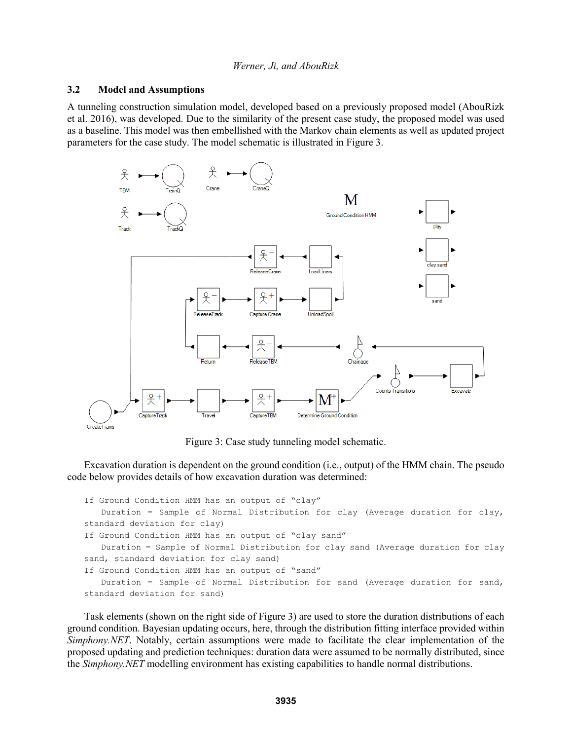### **3.2 Model and Assumptions**

A tunneling construction simulation model, developed based on a previously proposed model (AbouRizk et al. 2016), was developed. Due to the similarity of the present case study, the proposed model was used as a baseline. This model was then embellished with the Markov chain elements as well as updated project parameters for the case study. The model schematic is illustrated in Figure 3.



Figure 3: Case study tunneling model schematic.

Excavation duration is dependent on the ground condition (i.e., output) of the HMM chain. The pseudo code below provides details of how excavation duration was determined:

```
If Ground Condition HMM has an output of "clay"
   Duration = Sample of Normal Distribution for clay (Average duration for clay, 
standard deviation for clay)
If Ground Condition HMM has an output of "clay sand"
   Duration = Sample of Normal Distribution for clay sand (Average duration for clay 
sand, standard deviation for clay sand)
If Ground Condition HMM has an output of "sand"
   Duration = Sample of Normal Distribution for sand (Average duration for sand, 
standard deviation for sand)
```
Task elements (shown on the right side of Figure 3) are used to store the duration distributions of each ground condition. Bayesian updating occurs, here, through the distribution fitting interface provided within *Simphony.NET*. Notably, certain assumptions were made to facilitate the clear implementation of the proposed updating and prediction techniques: duration data were assumed to be normally distributed, since the *Simphony.NET* modelling environment has existing capabilities to handle normal distributions.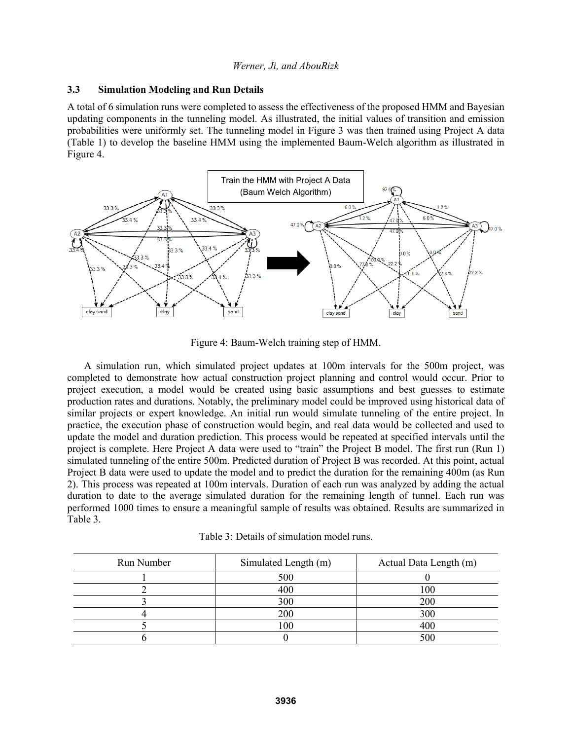### **3.3 Simulation Modeling and Run Details**

A total of 6 simulation runs were completed to assess the effectiveness of the proposed HMM and Bayesian updating components in the tunneling model. As illustrated, the initial values of transition and emission probabilities were uniformly set. The tunneling model in Figure 3 was then trained using Project A data (Table 1) to develop the baseline HMM using the implemented Baum-Welch algorithm as illustrated in Figure 4.



Figure 4: Baum-Welch training step of HMM.

A simulation run, which simulated project updates at 100m intervals for the 500m project, was completed to demonstrate how actual construction project planning and control would occur. Prior to project execution, a model would be created using basic assumptions and best guesses to estimate production rates and durations. Notably, the preliminary model could be improved using historical data of similar projects or expert knowledge. An initial run would simulate tunneling of the entire project. In practice, the execution phase of construction would begin, and real data would be collected and used to update the model and duration prediction. This process would be repeated at specified intervals until the project is complete. Here Project A data were used to "train" the Project B model. The first run (Run 1) simulated tunneling of the entire 500m. Predicted duration of Project B was recorded. At this point, actual Project B data were used to update the model and to predict the duration for the remaining 400m (as Run 2). This process was repeated at 100m intervals. Duration of each run was analyzed by adding the actual duration to date to the average simulated duration for the remaining length of tunnel. Each run was performed 1000 times to ensure a meaningful sample of results was obtained. Results are summarized in Table 3.

| Table 3: Details of simulation model runs. |
|--------------------------------------------|
|--------------------------------------------|

| Run Number | Simulated Length (m) | Actual Data Length (m) |
|------------|----------------------|------------------------|
|            | 500                  |                        |
|            | 400                  | 100                    |
|            | 300                  | 200                    |
|            | 200                  | 300                    |
|            | 100                  | 400                    |
|            |                      | 500                    |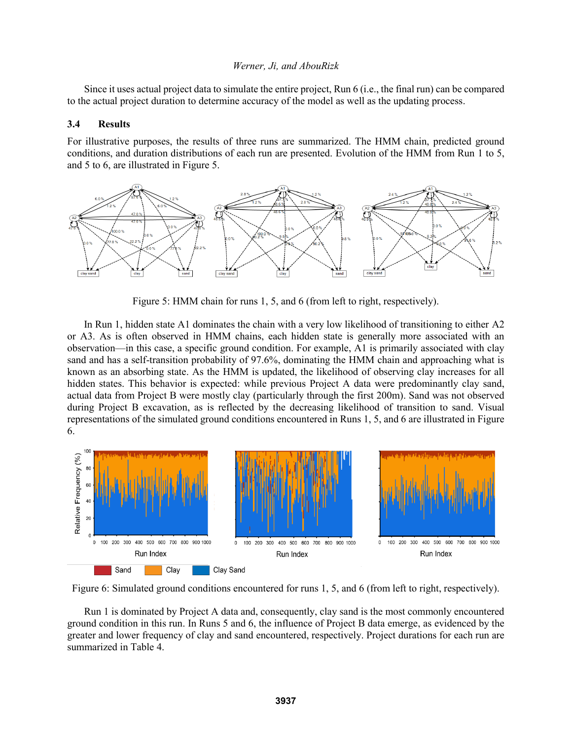Since it uses actual project data to simulate the entire project, Run 6 (i.e., the final run) can be compared to the actual project duration to determine accuracy of the model as well as the updating process.

### **3.4 Results**

For illustrative purposes, the results of three runs are summarized. The HMM chain, predicted ground conditions, and duration distributions of each run are presented. Evolution of the HMM from Run 1 to 5, and 5 to 6, are illustrated in Figure 5.



Figure 5: HMM chain for runs 1, 5, and 6 (from left to right, respectively).

In Run 1, hidden state A1 dominates the chain with a very low likelihood of transitioning to either A2 or A3. As is often observed in HMM chains, each hidden state is generally more associated with an observation—in this case, a specific ground condition. For example, A1 is primarily associated with clay sand and has a self-transition probability of 97.6%, dominating the HMM chain and approaching what is known as an absorbing state. As the HMM is updated, the likelihood of observing clay increases for all hidden states. This behavior is expected: while previous Project A data were predominantly clay sand, actual data from Project B were mostly clay (particularly through the first 200m). Sand was not observed during Project B excavation, as is reflected by the decreasing likelihood of transition to sand. Visual representations of the simulated ground conditions encountered in Runs 1, 5, and 6 are illustrated in Figure 6.



Figure 6: Simulated ground conditions encountered for runs 1, 5, and 6 (from left to right, respectively).

Run 1 is dominated by Project A data and, consequently, clay sand is the most commonly encountered ground condition in this run. In Runs 5 and 6, the influence of Project B data emerge, as evidenced by the greater and lower frequency of clay and sand encountered, respectively. Project durations for each run are summarized in Table 4.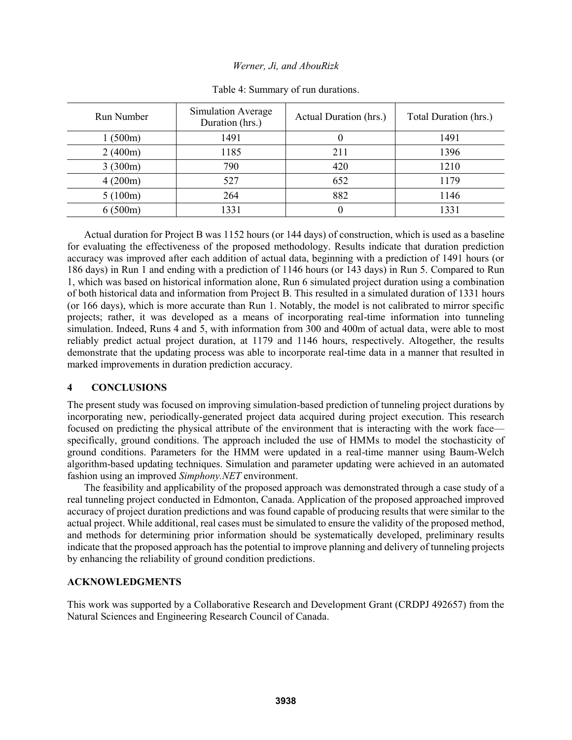| <b>Run Number</b> | Simulation Average<br>Duration (hrs.) | Actual Duration (hrs.) | Total Duration (hrs.) |
|-------------------|---------------------------------------|------------------------|-----------------------|
| 1(500m)           | 1491                                  | $\theta$               | 1491                  |
| 2(400m)           | 1185                                  | 211                    | 1396                  |
| 3(300m)           | 790                                   | 420                    | 1210                  |
| 4(200m)           | 527                                   | 652                    | 1179                  |
| 5(100m)           | 264                                   | 882                    | 1146                  |
| 6(500m)           | 1331                                  | $\theta$               | 1331                  |

Table 4: Summary of run durations.

Actual duration for Project B was 1152 hours (or 144 days) of construction, which is used as a baseline for evaluating the effectiveness of the proposed methodology. Results indicate that duration prediction accuracy was improved after each addition of actual data, beginning with a prediction of 1491 hours (or 186 days) in Run 1 and ending with a prediction of 1146 hours (or 143 days) in Run 5. Compared to Run 1, which was based on historical information alone, Run 6 simulated project duration using a combination of both historical data and information from Project B. This resulted in a simulated duration of 1331 hours (or 166 days), which is more accurate than Run 1. Notably, the model is not calibrated to mirror specific projects; rather, it was developed as a means of incorporating real-time information into tunneling simulation. Indeed, Runs 4 and 5, with information from 300 and 400m of actual data, were able to most reliably predict actual project duration, at 1179 and 1146 hours, respectively. Altogether, the results demonstrate that the updating process was able to incorporate real-time data in a manner that resulted in marked improvements in duration prediction accuracy.

# **4 CONCLUSIONS**

The present study was focused on improving simulation-based prediction of tunneling project durations by incorporating new, periodically-generated project data acquired during project execution. This research focused on predicting the physical attribute of the environment that is interacting with the work face specifically, ground conditions. The approach included the use of HMMs to model the stochasticity of ground conditions. Parameters for the HMM were updated in a real-time manner using Baum-Welch algorithm-based updating techniques. Simulation and parameter updating were achieved in an automated fashion using an improved *Simphony.NET* environment.

The feasibility and applicability of the proposed approach was demonstrated through a case study of a real tunneling project conducted in Edmonton, Canada. Application of the proposed approached improved accuracy of project duration predictions and was found capable of producing results that were similar to the actual project. While additional, real cases must be simulated to ensure the validity of the proposed method, and methods for determining prior information should be systematically developed, preliminary results indicate that the proposed approach has the potential to improve planning and delivery of tunneling projects by enhancing the reliability of ground condition predictions.

# **ACKNOWLEDGMENTS**

This work was supported by a Collaborative Research and Development Grant (CRDPJ 492657) from the Natural Sciences and Engineering Research Council of Canada.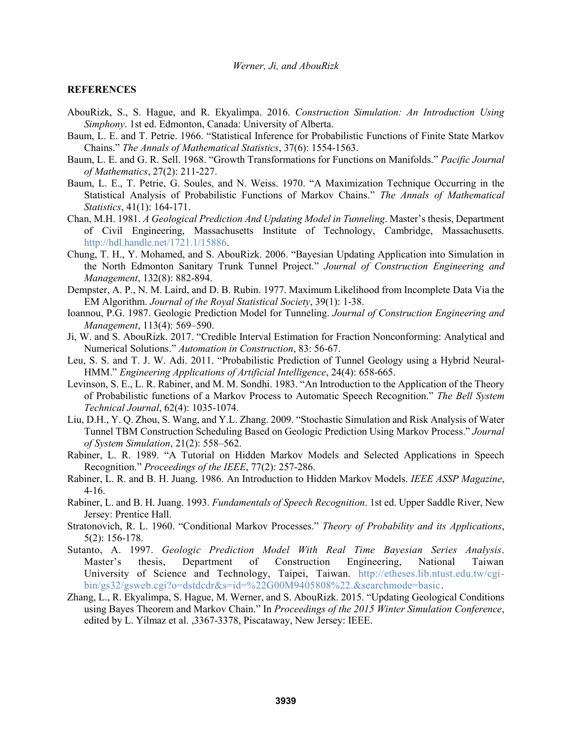### **REFERENCES**

- AbouRizk, S., S. Hague, and R. Ekyalimpa. 2016. *Construction Simulation: An Introduction Using Simphony*. 1st ed. Edmonton, Canada: University of Alberta.
- Baum, L. E. and T. Petrie. 1966. "Statistical Inference for Probabilistic Functions of Finite State Markov Chains." *The Annals of Mathematical Statistics*, 37(6): 1554-1563.
- Baum, L. E. and G. R. Sell. 1968. "Growth Transformations for Functions on Manifolds." *Pacific Journal of Mathematics*, 27(2): 211-227.
- Baum, L. E., T. Petrie, G. Soules, and N. Weiss. 1970. "A Maximization Technique Occurring in the Statistical Analysis of Probabilistic Functions of Markov Chains." *The Annals of Mathematical Statistics*, 41(1): 164-171.
- Chan, M.H. 1981. *A Geological Prediction And Updating Model in Tunneling*. Master's thesis, Department of Civil Engineering, Massachusetts Institute of Technology, Cambridge, Massachusetts. http://hdl.handle.net/1721.1/15886.
- Chung, T. H., Y. Mohamed, and S. AbouRizk. 2006. "Bayesian Updating Application into Simulation in the North Edmonton Sanitary Trunk Tunnel Project." *Journal of Construction Engineering and Management*, 132(8): 882-894.
- Dempster, A. P., N. M. Laird, and D. B. Rubin. 1977. Maximum Likelihood from Incomplete Data Via the EM Algorithm. *Journal of the Royal Statistical Society*, 39(1): 1-38.
- Ioannou, P.G. 1987. Geologic Prediction Model for Tunneling. *Journal of Construction Engineering and Management*, 113(4): 569–590.
- Ji, W. and S. AbouRizk. 2017. "Credible Interval Estimation for Fraction Nonconforming: Analytical and Numerical Solutions." *Automation in Construction*, 83: 56-67.
- Leu, S. S. and T. J. W. Adi. 2011. "Probabilistic Prediction of Tunnel Geology using a Hybrid Neural-HMM." *Engineering Applications of Artificial Intelligence*, 24(4): 658-665.
- Levinson, S. E., L. R. Rabiner, and M. M. Sondhi. 1983. "An Introduction to the Application of the Theory of Probabilistic functions of a Markov Process to Automatic Speech Recognition." *The Bell System Technical Journal*, 62(4): 1035-1074.
- Liu, D.H., Y. Q. Zhou, S. Wang, and Y.L. Zhang. 2009. "Stochastic Simulation and Risk Analysis of Water Tunnel TBM Construction Scheduling Based on Geologic Prediction Using Markov Process." *Journal of System Simulation*, 21(2): 558–562.
- Rabiner, L. R. 1989. "A Tutorial on Hidden Markov Models and Selected Applications in Speech Recognition." *Proceedings of the IEEE*, 77(2): 257-286.
- Rabiner, L. R. and B. H. Juang. 1986. An Introduction to Hidden Markov Models. *IEEE ASSP Magazine*, 4-16.
- Rabiner, L. and B. H. Juang. 1993. *Fundamentals of Speech Recognition*. 1st ed. Upper Saddle River, New Jersey: Prentice Hall.
- Stratonovich, R. L. 1960. "Conditional Markov Processes." *Theory of Probability and its Applications*, 5(2): 156-178.
- Sutanto, A. 1997. *Geologic Prediction Model With Real Time Bayesian Series Analysis*. Master's thesis, Department of Construction Engineering, National Taiwan University of Science and Technology, Taipei, Taiwan. http://etheses.lib.ntust.edu.tw/cgibin/gs32/gsweb.cgi?o=dstdcdr&s=id=%22G00M9405808%22.&searchmode=basic.
- Zhang, L., R. Ekyalimpa, S. Hague, M. Werner, and S. AbouRizk. 2015. "Updating Geological Conditions using Bayes Theorem and Markov Chain." In *Proceedings of the 2015 Winter Simulation Conference*, edited by L. Yilmaz et al. ,3367-3378, Piscataway, New Jersey: IEEE.